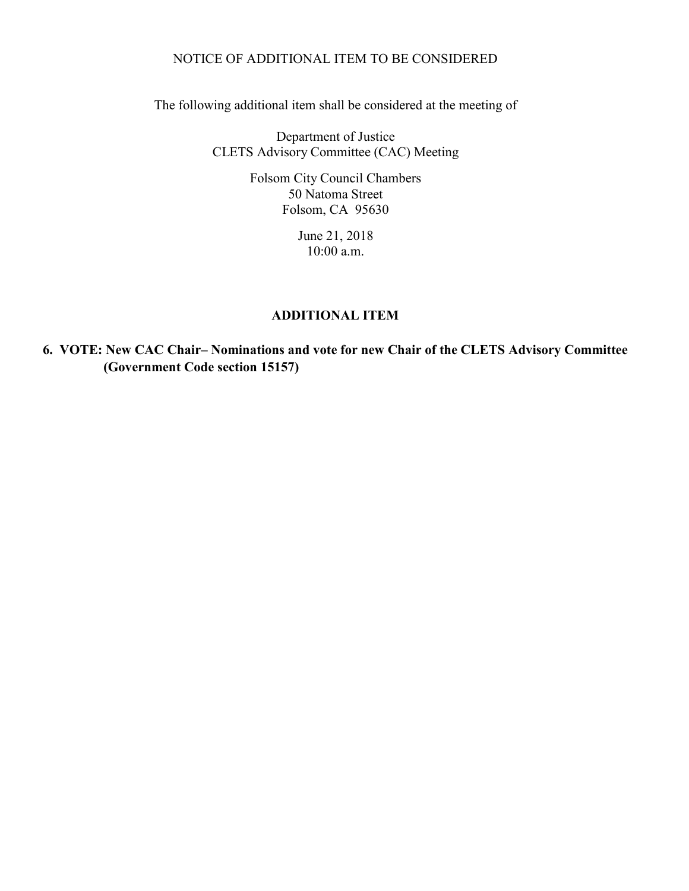## NOTICE OF ADDITIONAL ITEM TO BE CONSIDERED

The following additional item shall be considered at the meeting of

Department of Justice CLETS Advisory Committee (CAC) Meeting

> Folsom City Council Chambers 50 Natoma Street Folsom, CA 95630

> > June 21, 2018 10:00 a.m.

## **ADDITIONAL ITEM**

**6. VOTE: New CAC Chair– Nominations and vote for new Chair of the CLETS Advisory Committee (Government Code section 15157)**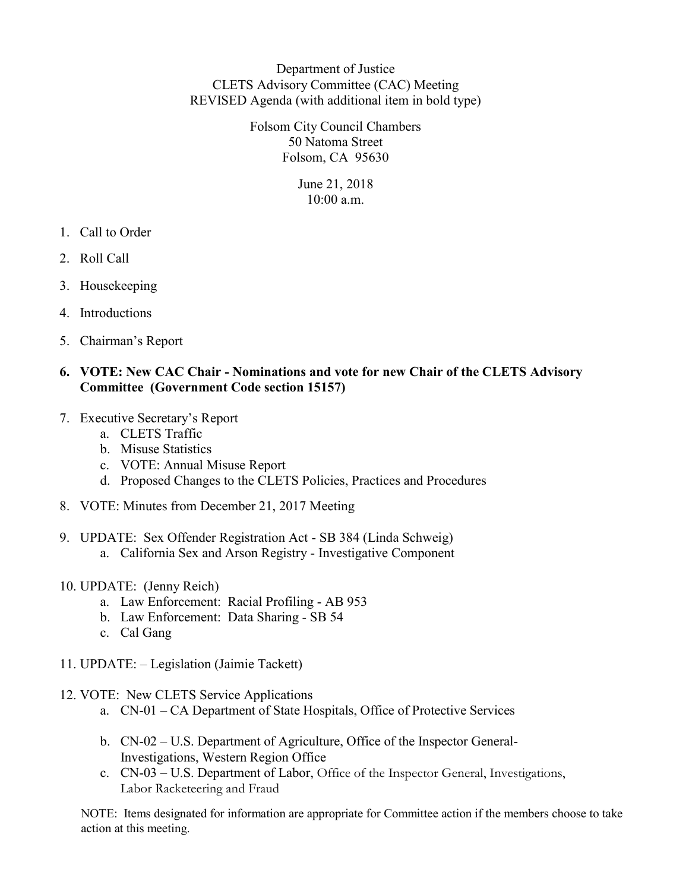Department of Justice CLETS Advisory Committee (CAC) Meeting REVISED Agenda (with additional item in bold type)

> Folsom City Council Chambers 50 Natoma Street Folsom, CA 95630

> > June 21, 2018  $10:00$  a.m.

- 1. Call to Order
- 2. Roll Call
- 3. Housekeeping
- 4. Introductions
- 5. Chairman's Report

## **6. VOTE: New CAC Chair - Nominations and vote for new Chair of the CLETS Advisory Committee (Government Code section 15157)**

- 7. Executive Secretary's Report
	- a. CLETS Traffic
	- b. Misuse Statistics
	- c. VOTE: Annual Misuse Report
	- d. Proposed Changes to the CLETS Policies, Practices and Procedures
- 8. VOTE: Minutes from December 21, 2017 Meeting
- 9. UPDATE: Sex Offender Registration Act SB 384 (Linda Schweig)
	- a. California Sex and Arson Registry Investigative Component
- 10. UPDATE: (Jenny Reich)
	- a. Law Enforcement: Racial Profiling AB 953
	- b. Law Enforcement: Data Sharing SB 54
	- c. Cal Gang
- 11. UPDATE: Legislation (Jaimie Tackett)
- 12. VOTE: New CLETS Service Applications
	- a. CN-01 CA Department of State Hospitals, Office of Protective Services
	- b. CN-02 U.S. Department of Agriculture, Office of the Inspector General-Investigations, Western Region Office
	- c. CN-03 U.S. Department of Labor, Office of the Inspector General, Investigations, Labor Racketeering and Fraud

NOTE: Items designated for information are appropriate for Committee action if the members choose to take action at this meeting.